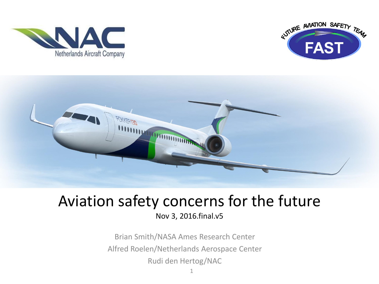





#### Aviation safety concerns for the future Nov 3, 2016.final.v5

Brian Smith/NASA Ames Research Center Alfred Roelen/Netherlands Aerospace Center Rudi den Hertog/NAC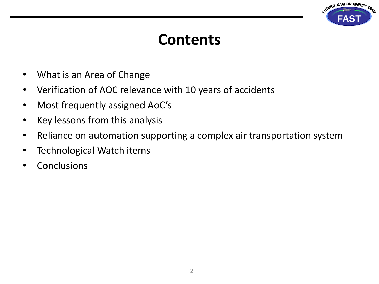

## **Contents**

- What is an Area of Change
- Verification of AOC relevance with 10 years of accidents
- Most frequently assigned AoC's
- Key lessons from this analysis
- Reliance on automation supporting a complex air transportation system
- Technological Watch items
- Conclusions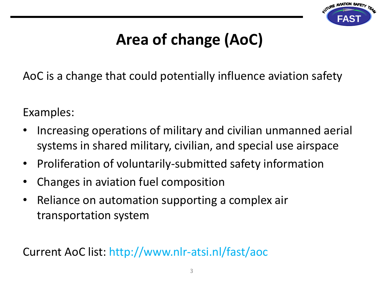

# **Area of change (AoC)**

AoC is a change that could potentially influence aviation safety

Examples:

- Increasing operations of military and civilian unmanned aerial systems in shared military, civilian, and special use airspace
- Proliferation of voluntarily-submitted safety information
- Changes in aviation fuel composition
- Reliance on automation supporting a complex air transportation system

Current AoC list: http://www.nlr-atsi.nl/fast/aoc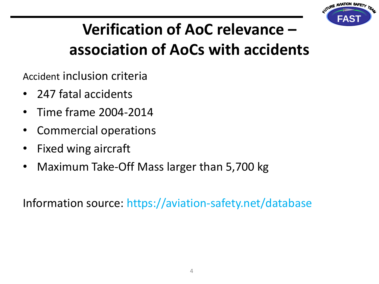

# **Verification of AoC relevance – association of AoCs with accidents**

Accident inclusion criteria

- 247 fatal accidents
- Time frame 2004-2014
- Commercial operations
- Fixed wing aircraft
- Maximum Take-Off Mass larger than 5,700 kg

Information source: https://aviation-safety.net/database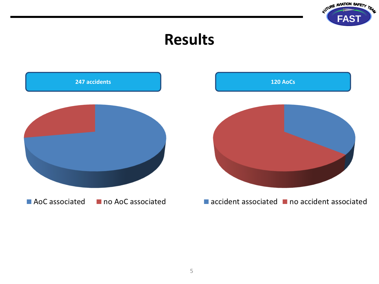

### **Results**

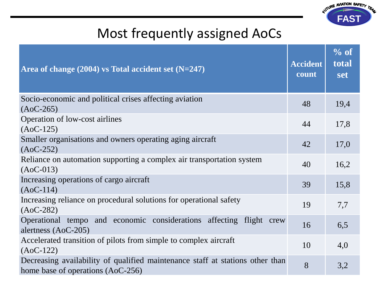

### Most frequently assigned AoCs

| Area of change $(2004)$ vs Total accident set $(N=247)$                                                            | <b>Accident</b><br>count | % of<br>total<br><b>set</b> |
|--------------------------------------------------------------------------------------------------------------------|--------------------------|-----------------------------|
| Socio-economic and political crises affecting aviation<br>$(AoC-265)$                                              | 48                       | 19,4                        |
| Operation of low-cost airlines<br>$(AoC-125)$                                                                      | 44                       | 17,8                        |
| Smaller organisations and owners operating aging aircraft<br>$(AoC-252)$                                           | 42                       | 17,0                        |
| Reliance on automation supporting a complex air transportation system<br>$(AoC-013)$                               | 40                       | 16,2                        |
| Increasing operations of cargo aircraft<br>$(AoC-114)$                                                             | 39                       | 15,8                        |
| Increasing reliance on procedural solutions for operational safety<br>$(AoC-282)$                                  | 19                       | 7,7                         |
| Operational tempo and economic considerations affecting flight crew<br>alertness $(AoC-205)$                       | 16                       | 6,5                         |
| Accelerated transition of pilots from simple to complex aircraft<br>$(AoC-122)$                                    | 10                       | 4,0                         |
| Decreasing availability of qualified maintenance staff at stations other than<br>home base of operations (AoC-256) | 8                        | 3,2                         |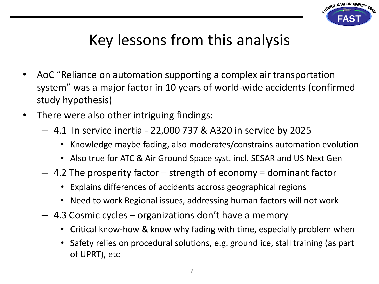

# Key lessons from this analysis

- AoC "Reliance on automation supporting a complex air transportation system" was a major factor in 10 years of world-wide accidents (confirmed study hypothesis)
- There were also other intriguing findings:
	- 4.1 In service inertia 22,000 737 & A320 in service by 2025
		- Knowledge maybe fading, also moderates/constrains automation evolution
		- Also true for ATC & Air Ground Space syst. incl. SESAR and US Next Gen
	- $-$  4.2 The prosperity factor  $-$  strength of economy = dominant factor
		- Explains differences of accidents accross geographical regions
		- Need to work Regional issues, addressing human factors will not work
	- 4.3 Cosmic cycles organizations don't have a memory
		- Critical know-how & know why fading with time, especially problem when
		- Safety relies on procedural solutions, e.g. ground ice, stall training (as part of UPRT), etc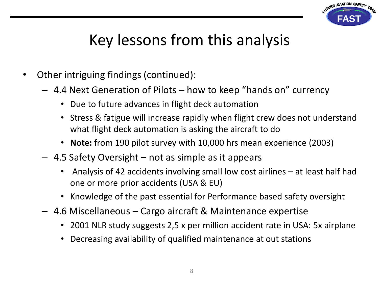

## Key lessons from this analysis

- Other intriguing findings (continued):
	- 4.4 Next Generation of Pilots how to keep "hands on" currency
		- Due to future advances in flight deck automation
		- Stress & fatigue will increase rapidly when flight crew does not understand what flight deck automation is asking the aircraft to do
		- **Note:** from 190 pilot survey with 10,000 hrs mean experience (2003)
	- 4.5 Safety Oversight not as simple as it appears
		- Analysis of 42 accidents involving small low cost airlines at least half had one or more prior accidents (USA & EU)
		- Knowledge of the past essential for Performance based safety oversight
	- 4.6 Miscellaneous Cargo aircraft & Maintenance expertise
		- 2001 NLR study suggests 2,5 x per million accident rate in USA: 5x airplane
		- Decreasing availability of qualified maintenance at out stations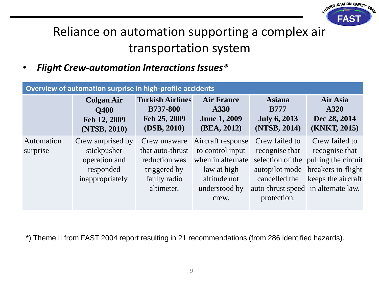

### Reliance on automation supporting a complex air transportation system

• *Flight Crew-automation Interactions Issues\**

| Overview of automation surprise in high-profile accidents |                                                                                    |                                                                                                 |                                                                                                                     |                                                                                                                           |                                                                                                                      |  |  |
|-----------------------------------------------------------|------------------------------------------------------------------------------------|-------------------------------------------------------------------------------------------------|---------------------------------------------------------------------------------------------------------------------|---------------------------------------------------------------------------------------------------------------------------|----------------------------------------------------------------------------------------------------------------------|--|--|
|                                                           | <b>Colgan Air</b><br><b>O400</b><br>Feb 12, 2009<br>(NTSB, 2010)                   | <b>Turkish Airlines</b><br><b>B737-800</b><br>Feb 25, 2009<br>(DSB, 2010)                       | <b>Air France</b><br>A330<br><b>June 1, 2009</b><br>(BEA, 2012)                                                     | <b>Asiana</b><br><b>B777</b><br><b>July 6, 2013</b><br>(NTSB, 2014)                                                       | Air Asia<br>A320<br>Dec 28, 2014<br>(KNKT, 2015)                                                                     |  |  |
| Automation<br>surprise                                    | Crew surprised by<br>stickpusher<br>operation and<br>responded<br>inappropriately. | Crew unaware<br>that auto-thrust<br>reduction was<br>triggered by<br>faulty radio<br>altimeter. | Aircraft response<br>to control input<br>when in alternate<br>law at high<br>altitude not<br>understood by<br>crew. | Crew failed to<br>recognise that<br>autopilot mode<br>cancelled the<br>auto-thrust speed in alternate law.<br>protection. | Crew failed to<br>recognise that<br>selection of the pulling the circuit<br>breakers in-flight<br>keeps the aircraft |  |  |

\*) Theme II from FAST 2004 report resulting in 21 recommendations (from 286 identified hazards).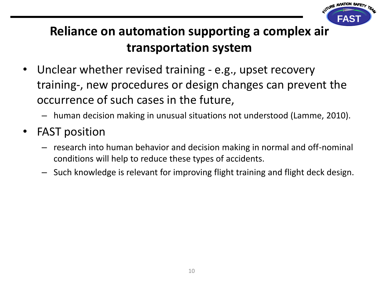

### **Reliance on automation supporting a complex air transportation system**

- Unclear whether revised training e.g., upset recovery training-, new procedures or design changes can prevent the occurrence of such cases in the future,
	- human decision making in unusual situations not understood (Lamme, 2010).
- FAST position
	- research into human behavior and decision making in normal and off-nominal conditions will help to reduce these types of accidents.
	- Such knowledge is relevant for improving flight training and flight deck design.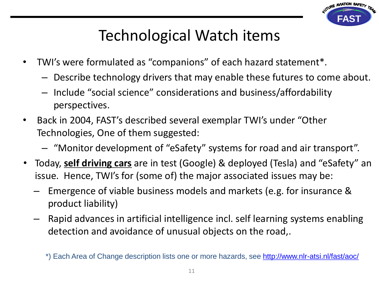

### Technological Watch items

- TWI's were formulated as "companions" of each hazard statement\*.
	- Describe technology drivers that may enable these futures to come about.
	- Include "social science" considerations and business/affordability perspectives.
- Back in 2004, FAST's described several exemplar TWI's under "Other Technologies, One of them suggested:
	- "Monitor development of "eSafety" systems for road and air transport".
- Today, **self driving cars** are in test (Google) & deployed (Tesla) and "eSafety" an issue. Hence, TWI's for (some of) the major associated issues may be:
	- Emergence of viable business models and markets (e.g. for insurance & product liability)
	- Rapid advances in artificial intelligence incl. self learning systems enabling detection and avoidance of unusual objects on the road,.

<sup>\*)</sup> Each Area of Change description lists one or more hazards, see<http://www.nlr-atsi.nl/fast/aoc/>